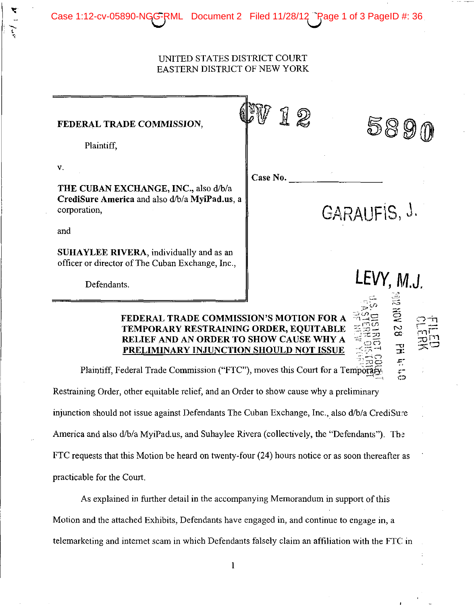Case No.

12

ದನ  $\sim$  ;  $\sim$  --1  $\Xi = \bigcirc$   $\leftarrow$ 

 $\approx$ 

J.

 $\frac{1}{2}$ 

5890

Case 1:12-cv-05890-NGG-RML Document 2 Filed 11/28/12 Page 1 of 3 PageID #: 36

## FEDERAL TRADE COMMISSION,

Plaintiff,

v.

THE CUBAN EXCHANGE, INC., also d/b/a CrediSure America and also d/b/a MyiPad.us, a corporation,  $\blacksquare$  GARAUFIS, J.

and

SUHAYLEE RIVERA, individually and as an officer or director of The Cuban Exchange, Inc.,

Defendants. **LEVY, M.J.** 

## FEDERAL TRADE COMMISSION'S MOTION FOR A TEMPORARY RESTRAINING ORDER, EQUITABLE RELIEF AND AN ORDER TO SHOW CAUSE WHY A PRELIMINARY INJUNCTION SHOULD NOT ISSUE

 $\mathbb{E}$  reduction  $\mathbb{E}$  . Plaintiff, Federal Trade Commission ("FTC"), moves this Court for a Temporary.

Restraining Order, other equitable relief, and an Order to show cause why a preliminary injunction should not issue against Defendants The Cuban Exchange, Inc.,also d/b/a CrediSuce America and also d/b/a MyiPad.us, and Suhaylee Rivera (collectively, the "Defendants"). The FTC requests that this Motion be heard on twenty-four (24) hours notice or as soon thereafter as practicable for the Court.

As explained in further detail in the accompanying Memorandum in support of this Motion and the attached Exhibits, Defendants have engaged in, and continue to engage in, a telemarketing and internet scam in which Defendants falsely claim an affiliation with the FTC: in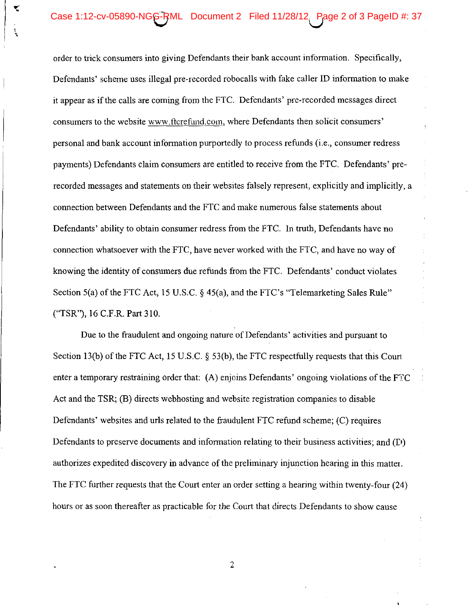## Case 1:12-cv-05890-NGG-RML Document 2 Filed 11/28/12 Rage 2 of 3 PageID #: 37

',<br>'

order to trick consumers into giving Defendants their bank account information. Specifically, Defendants' scheme uses illegal pre-recorded robocalls with fake caller ID information to make it appear as if the calls are coming from the FTC. Defendants' pre-recorded messages direct consumers to the website www.ftcrefund.com, where Defendants then solicit consumers' personal and bank account information purportedly to process refunds (i.e., consumer redress payments) Defendants claim consumers are entitled to receive from the FTC. Defendants' prerecorded messages and statements on their websites falsely represent, explicitly and implicitly, a connection between Defendants and the FTC and make numerous false statements about Defendants' ability to obtain consumer redress from the FTC. In truth, Defendants have no connection whatsoever with the FTC, have never worked with the FTC, and have no way of knowing the identity of consumers due refunds from the FTC. Defendants' conduct violates Section 5(a) of the FTC Act, 15 U.S.C. § 45(a), and the FTC's "Telemarketing Sales Rule" ("TSR"), 16 C.F .R. Part 310.

Due to the fraudulent and ongoing nature of Defendants' activities and pursuant to Section 13(b) of the FTC Act, 15 U.S.C.  $\S$  53(b), the FTC respectfully requests that this Court enter a temporary restraining order that: (A) enjoins Defendants' ongoing violations of the  $F \mathbb{F} C$ Act and the TSR; (B) directs webhosting and website registration companies to disable Defendants' websites and uris related to the fraudulent FTC refund scheme; (C) requires Defendants to preserve documents and information relating to their business activities; and (D) authorizes expedited discovery in advance of the preliminary injunction hearing in this matter. The FTC further requests that the Court enter an order setting a hearing within twenty-four (24) hours or as soon thereafter as practicable for the Court that directs Defendants to show cause

2